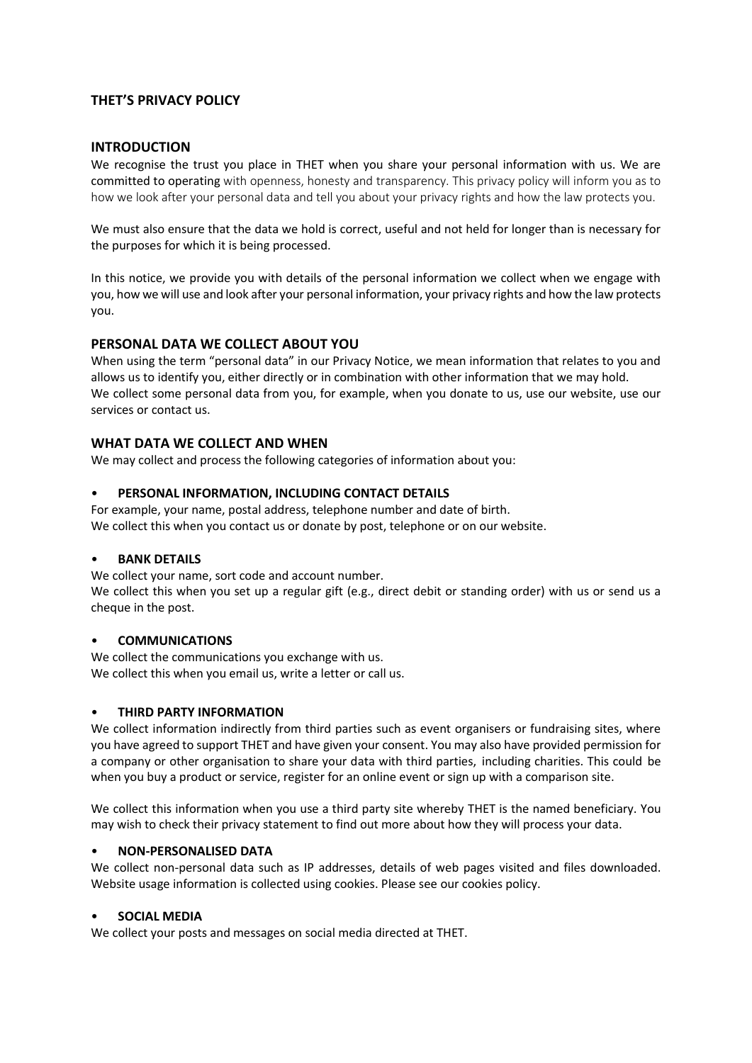# **THET'S PRIVACY POLICY**

## **INTRODUCTION**

We recognise the trust you place in THET when you share your personal information with us. We are committed to operating with openness, honesty and transparency. This privacy policy will inform you as to how we look after your personal data and tell you about your privacy rights and how the law protects you.

We must also ensure that the data we hold is correct, useful and not held for longer than is necessary for the purposes for which it is being processed.

In this notice, we provide you with details of the personal information we collect when we engage with you, how we will use and look after your personal information, your privacy rights and how the law protects you.

## **PERSONAL DATA WE COLLECT ABOUT YOU**

When using the term "personal data" in our Privacy Notice, we mean information that relates to you and allows us to identify you, either directly or in combination with other information that we may hold. We collect some personal data from you, for example, when you donate to us, use our website, use our services or contact us.

## **WHAT DATA WE COLLECT AND WHEN**

We may collect and process the following categories of information about you:

### **PERSONAL INFORMATION, INCLUDING CONTACT DETAILS**

For example, your name, postal address, telephone number and date of birth. We collect this when you contact us or donate by post, telephone or on our website.

### • **BANK DETAILS**

We collect your name, sort code and account number.

We collect this when you set up a regular gift (e.g., direct debit or standing order) with us or send us a cheque in the post.

### • **COMMUNICATIONS**

We collect the communications you exchange with us. We collect this when you email us, write a letter or call us.

### • **THIRD PARTY INFORMATION**

We collect information indirectly from third parties such as event organisers or fundraising sites, where you have agreed to support THET and have given your consent. You may also have provided permission for a company or other organisation to share your data with third parties, including charities. This could be when you buy a product or service, register for an online event or sign up with a comparison site.

We collect this information when you use a third party site whereby THET is the named beneficiary. You may wish to check their privacy statement to find out more about how they will process your data.

## • **NON-PERSONALISED DATA**

We collect non-personal data such as IP addresses, details of web pages visited and files downloaded. Website usage information is collected using cookies. Please see ou[r cookies](https://cafod.org.uk/Legal-information/Privacy-statement#cookies) policy.

### • **SOCIAL MEDIA**

We collect your posts and messages on social media directed at THET.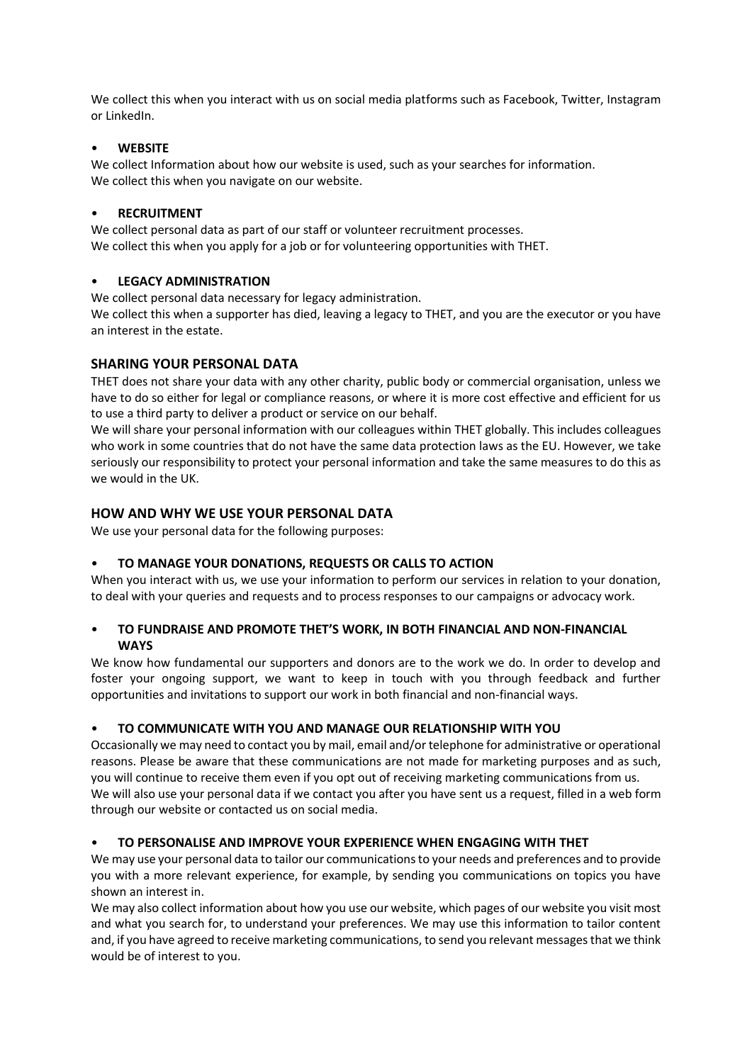We collect this when you interact with us on social media platforms such as Facebook, Twitter, Instagram or LinkedIn.

## • **WEBSITE**

We collect Information about how our website is used, such as your searches for information. We collect this when you navigate on our website.

### • **RECRUITMENT**

We collect personal data as part of our staff or volunteer recruitment processes. We collect this when you apply for a job or for volunteering opportunities with THET.

# • **LEGACY ADMINISTRATION**

We collect personal data necessary for legacy administration.

We collect this when a supporter has died, leaving a legacy to THET, and you are the executor or you have an interest in the estate.

## **SHARING YOUR PERSONAL DATA**

THET does not share your data with any other charity, public body or commercial organisation, unless we have to do so either for legal or compliance reasons, or where it is more cost effective and efficient for us to use a third party to deliver a product or service on our behalf.

We will share your personal information with our colleagues within THET globally. This includes colleagues who work in some countries that do not have the same data protection laws as the EU. However, we take seriously our responsibility to protect your personal information and take the same measures to do this as we would in the UK.

## **HOW AND WHY WE USE YOUR PERSONAL DATA**

We use your personal data for the following purposes:

### • **TO MANAGE YOUR DONATIONS, REQUESTS OR CALLS TO ACTION**

When you interact with us, we use your information to perform our services in relation to your donation, to deal with your queries and requests and to process responses to our campaigns or advocacy work.

# • **TO FUNDRAISE AND PROMOTE THET'S WORK, IN BOTH FINANCIAL AND NON-FINANCIAL WAYS**

We know how fundamental our supporters and donors are to the work we do. In order to develop and foster your ongoing support, we want to keep in touch with you through feedback and further opportunities and invitations to support our work in both financial and non-financial ways.

### • **TO COMMUNICATE WITH YOU AND MANAGE OUR RELATIONSHIP WITH YOU**

Occasionally we may need to contact you by mail, email and/or telephone for administrative or operational reasons. Please be aware that these communications are not made for marketing purposes and as such, you will continue to receive them even if you opt out of receiving marketing communications from us. We will also use your personal data if we contact you after you have sent us a request, filled in a web form through our website or contacted us on social media.

### • **TO PERSONALISE AND IMPROVE YOUR EXPERIENCE WHEN ENGAGING WITH THET**

We may use your personal data to tailor our communications to your needs and preferences and to provide you with a more relevant experience, for example, by sending you communications on topics you have shown an interest in.

We may also collect information about how you use our website, which pages of our website you visit most and what you search for, to understand your preferences. We may use this information to tailor content and, if you have agreed to receive marketing communications, to send you relevant messages that we think would be of interest to you.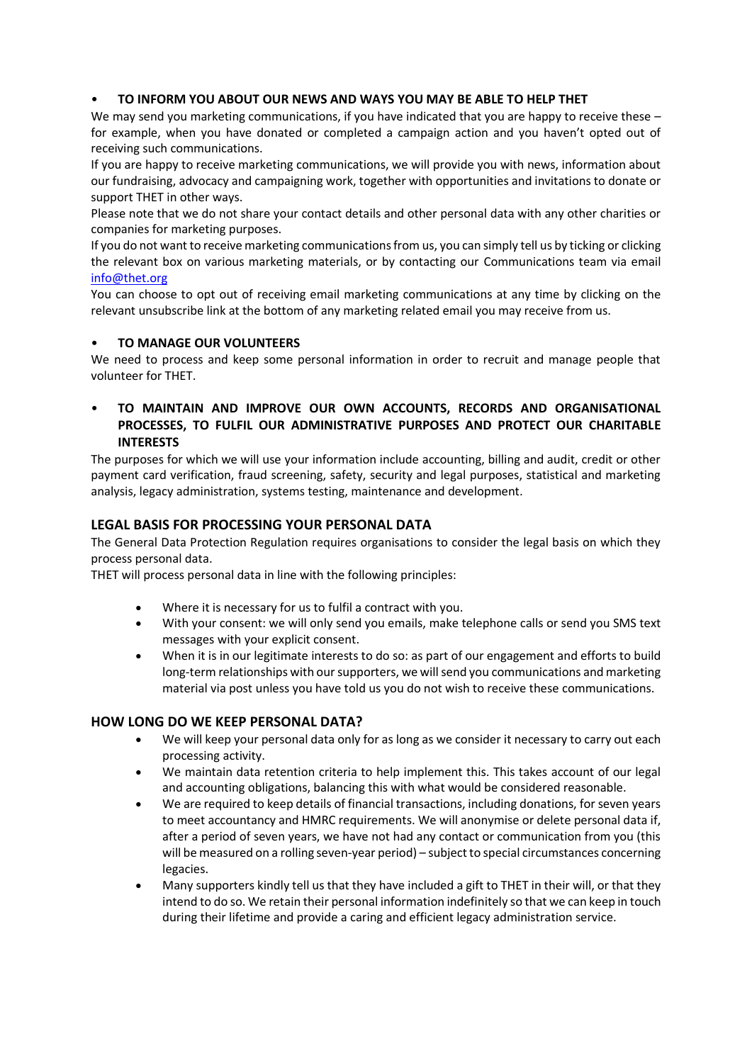# • **TO INFORM YOU ABOUT OUR NEWS AND WAYS YOU MAY BE ABLE TO HELP THET**

We may send you marketing communications, if you have indicated that you are happy to receive these – for example, when you have donated or completed a campaign action and you haven't opted out of receiving such communications.

If you are happy to receive marketing communications, we will provide you with news, information about our fundraising, advocacy and campaigning work, together with opportunities and invitations to donate or support THET in other ways.

Please note that we do not share your contact details and other personal data with any other charities or companies for marketing purposes.

If you do not want to receive marketing communications from us, you can simply tell us by ticking or clicking the relevant box on various marketing materials, or by contacting our Communications team via email info@thet.org

You can choose to opt out of receiving email marketing communications at any time by clicking on the relevant unsubscribe link at the bottom of any marketing related email you may receive from us.

# • **TO MANAGE OUR VOLUNTEERS**

We need to process and keep some personal information in order to recruit and manage people that volunteer for THET.

• **TO MAINTAIN AND IMPROVE OUR OWN ACCOUNTS, RECORDS AND ORGANISATIONAL PROCESSES, TO FULFIL OUR ADMINISTRATIVE PURPOSES AND PROTECT OUR CHARITABLE INTERESTS**

The purposes for which we will use your information include accounting, billing and audit, credit or other payment card verification, fraud screening, safety, security and legal purposes, statistical and marketing analysis, legacy administration, systems testing, maintenance and development.

# **LEGAL BASIS FOR PROCESSING YOUR PERSONAL DATA**

The General Data Protection Regulation requires organisations to consider the legal basis on which they process personal data.

THET will process personal data in line with the following principles:

- Where it is necessary for us to fulfil a contract with you.
- With your consent: we will only send you emails, make telephone calls or send you SMS text messages with your explicit consent.
- When it is in our legitimate interests to do so: as part of our engagement and efforts to build long-term relationships with our supporters, we will send you communications and marketing material via post unless you have told us you do not wish to receive these communications.

# **HOW LONG DO WE KEEP PERSONAL DATA?**

- We will keep your personal data only for as long as we consider it necessary to carry out each processing activity.
- We maintain data retention criteria to help implement this. This takes account of our legal and accounting obligations, balancing this with what would be considered reasonable.
- We are required to keep details of financial transactions, including donations, for seven years to meet accountancy and HMRC requirements. We will anonymise or delete personal data if, after a period of seven years, we have not had any contact or communication from you (this will be measured on a rolling seven-year period) – subject to special circumstances concerning legacies.
- Many supporters kindly tell us that they have included a gift to THET in their will, or that they intend to do so. We retain their personal information indefinitely so that we can keep in touch during their lifetime and provide a caring and efficient legacy administration service.